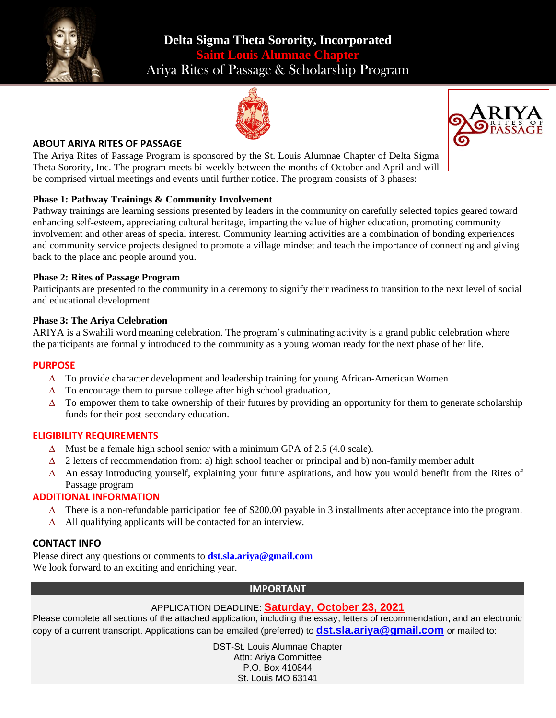





### **ABOUT ARIYA RITES OF PASSAGE**

The Ariya Rites of Passage Program is sponsored by the St. Louis Alumnae Chapter of Delta Sigma Theta Sorority, Inc. The program meets bi-weekly between the months of October and April and will be comprised virtual meetings and events until further notice. The program consists of 3 phases:

### **Phase 1: Pathway Trainings & Community Involvement**

Pathway trainings are learning sessions presented by leaders in the community on carefully selected topics geared toward enhancing self-esteem, appreciating cultural heritage, imparting the value of higher education, promoting community involvement and other areas of special interest. Community learning activities are a combination of bonding experiences and community service projects designed to promote a village mindset and teach the importance of connecting and giving back to the place and people around you.

### **Phase 2: Rites of Passage Program**

Participants are presented to the community in a ceremony to signify their readiness to transition to the next level of social and educational development.

### **Phase 3: The Ariya Celebration**

ARIYA is a Swahili word meaning celebration. The program's culminating activity is a grand public celebration where the participants are formally introduced to the community as a young woman ready for the next phase of her life.

### **PURPOSE**

- $\Delta$  To provide character development and leadership training for young African-American Women
- $\Delta$  To encourage them to pursue college after high school graduation,
- $\Delta$  To empower them to take ownership of their futures by providing an opportunity for them to generate scholarship funds for their post-secondary education.

# **ELIGIBILITY REQUIREMENTS**

- $\Delta$  Must be a female high school senior with a minimum GPA of 2.5 (4.0 scale).
- $\Delta$  2 letters of recommendation from: a) high school teacher or principal and b) non-family member adult
- $\Delta$  An essay introducing yourself, explaining your future aspirations, and how you would benefit from the Rites of Passage program

# **ADDITIONAL INFORMATION**

- $\Delta$  There is a non-refundable participation fee of \$200.00 payable in 3 installments after acceptance into the program.
- $\Delta$  All qualifying applicants will be contacted for an interview.

# **CONTACT INFO**

Please direct any questions or comments to **[dst.sla.ariya@gmail.com](mailto:dst.sla.ariya@gmail.com)** We look forward to an exciting and enriching year.

# **IMPORTANT**

# APPLICATION DEADLINE: **Saturday, October 23, 2021**

Please complete all sections of the attached application, including the essay, letters of recommendation, and an electronic copy of a current transcript. Applications can be emailed (preferred) to **[dst.sla.ariya@gmail.com](mailto:dst.sla.ariya@gmail.com)** or mailed to:

> DST-St. Louis Alumnae Chapter Attn: Ariya Committee P.O. Box 410844 St. Louis MO 63141